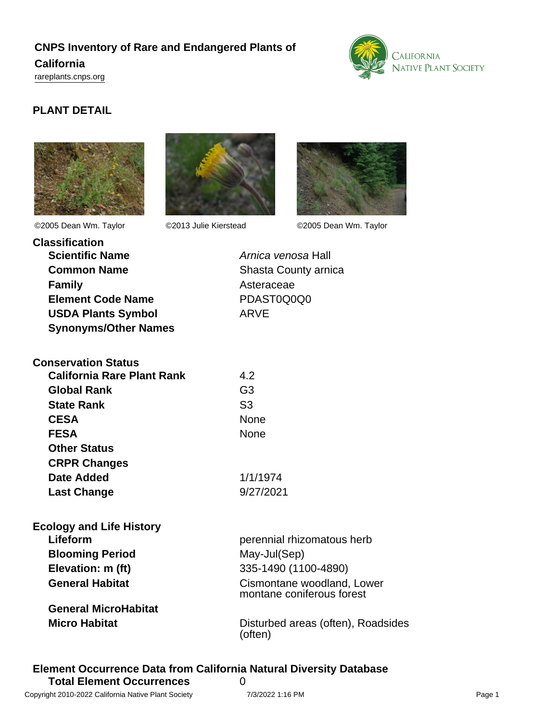# **CNPS Inventory of Rare and Endangered Plants of California**

<rareplants.cnps.org>



## **PLANT DETAIL**







©2005 Dean Wm. Taylor ©2013 Julie Kierstead ©2005 Dean Wm. Taylor

| <b>Classification</b>       |                      |
|-----------------------------|----------------------|
| <b>Scientific Name</b>      | Arnica venosa Hall   |
| <b>Common Name</b>          | Shasta County arnica |
| <b>Family</b>               | Asteraceae           |
| <b>Element Code Name</b>    | PDAST0Q0Q0           |
| <b>USDA Plants Symbol</b>   | ARVE                 |
| <b>Synonyms/Other Names</b> |                      |

| Arnica venosa Hall   |
|----------------------|
| Shasta County arnica |
| Asteraceae           |
| PDAST0Q0Q0           |
| ARVE                 |

| <b>Conservation Status</b>        |                |
|-----------------------------------|----------------|
| <b>California Rare Plant Rank</b> | 4.2            |
| <b>Global Rank</b>                | G3             |
| <b>State Rank</b>                 | S <sub>3</sub> |
| <b>CESA</b>                       | None           |
| <b>FESA</b>                       | None           |
| <b>Other Status</b>               |                |
| <b>CRPR Changes</b>               |                |
| Date Added                        | 1/1/1974       |
| <b>Last Change</b>                | 9/27/2021      |
|                                   |                |

| <b>Ecology and Life History</b> |                                                         |
|---------------------------------|---------------------------------------------------------|
| Lifeform                        | perennial rhizomatous herb                              |
| <b>Blooming Period</b>          | May-Jul(Sep)                                            |
| Elevation: m (ft)               | 335-1490 (1100-4890)                                    |
| <b>General Habitat</b>          | Cismontane woodland, Lower<br>montane coniferous forest |
| <b>General MicroHabitat</b>     |                                                         |
| <b>Micro Habitat</b>            | Disturbed areas (often), Roadsides<br>(often)           |

#### **Element Occurrence Data from California Natural Diversity Database Total Element Occurrences** 0 Copyright 2010-2022 California Native Plant Society 7/3/2022 1:16 PM Page 1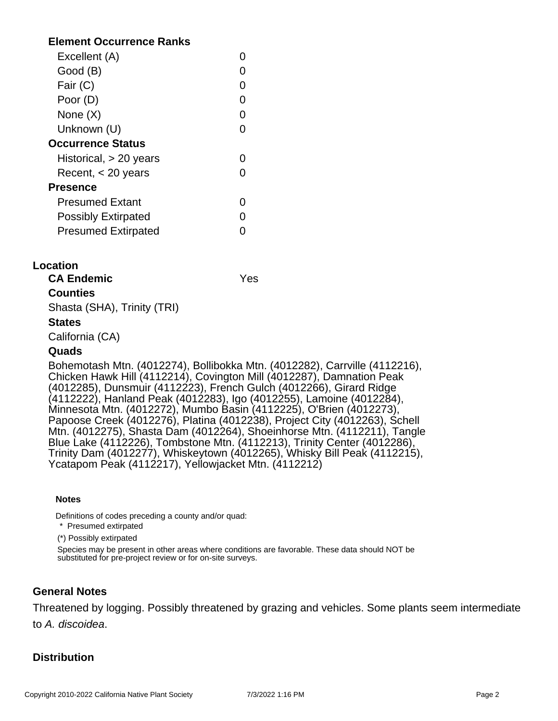## **Element Occurrence Ranks**

| Excellent (A)              |  |
|----------------------------|--|
| Good (B)                   |  |
| Fair (C)                   |  |
| Poor (D)                   |  |
| None $(X)$                 |  |
| Unknown (U)                |  |
| <b>Occurrence Status</b>   |  |
| Historical, $> 20$ years   |  |
| Recent, $<$ 20 years       |  |
| <b>Presence</b>            |  |
| <b>Presumed Extant</b>     |  |
| <b>Possibly Extirpated</b> |  |
| <b>Presumed Extirpated</b> |  |

## **Location**

**CA Endemic** Yes

## **Counties**

Shasta (SHA), Trinity (TRI)

#### **States**

California (CA)

#### **Quads**

Bohemotash Mtn. (4012274), Bollibokka Mtn. (4012282), Carrville (4112216), Chicken Hawk Hill (4112214), Covington Mill (4012287), Damnation Peak (4012285), Dunsmuir (4112223), French Gulch (4012266), Girard Ridge (4112222), Hanland Peak (4012283), Igo (4012255), Lamoine (4012284), Minnesota Mtn. (4012272), Mumbo Basin (4112225), O'Brien (4012273), Papoose Creek (4012276), Platina (4012238), Project City (4012263), Schell Mtn. (4012275), Shasta Dam (4012264), Shoeinhorse Mtn. (4112211), Tangle Blue Lake (4112226), Tombstone Mtn. (4112213), Trinity Center (4012286), Trinity Dam (4012277), Whiskeytown (4012265), Whisky Bill Peak (4112215), Ycatapom Peak (4112217), Yellowjacket Mtn. (4112212)

#### **Notes**

Definitions of codes preceding a county and/or quad:

\* Presumed extirpated

(\*) Possibly extirpated

Species may be present in other areas where conditions are favorable. These data should NOT be substituted for pre-project review or for on-site surveys.

## **General Notes**

Threatened by logging. Possibly threatened by grazing and vehicles. Some plants seem intermediate to A. discoidea.

## **Distribution**